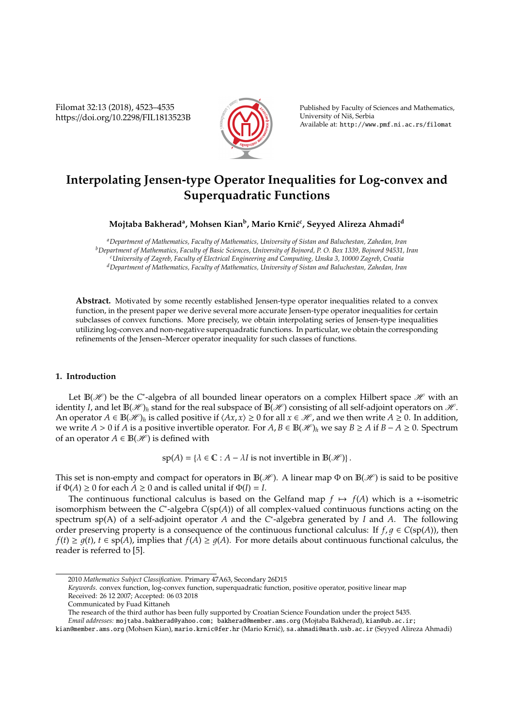Filomat 32:13 (2018), 4523–4535 https://doi.org/10.2298/FIL1813523B



Published by Faculty of Sciences and Mathematics, University of Niš, Serbia Available at: http://www.pmf.ni.ac.rs/filomat

# **Interpolating Jensen-type Operator Inequalities for Log-convex and Superquadratic Functions**

## **Mojtaba Bakherad<sup>a</sup> , Mohsen Kian<sup>b</sup> , Mario Krni´c<sup>c</sup> , Seyyed Alireza Ahmadi<sup>d</sup>**

*<sup>a</sup>Department of Mathematics, Faculty of Mathematics, University of Sistan and Baluchestan, Zahedan, Iran <sup>b</sup>Department of Mathematics, Faculty of Basic Sciences, University of Bojnord, P. O. Box 1339, Bojnord 94531, Iran <sup>c</sup>University of Zagreb, Faculty of Electrical Engineering and Computing, Unska 3, 10000 Zagreb, Croatia <sup>d</sup>Department of Mathematics, Faculty of Mathematics, University of Sistan and Baluchestan, Zahedan, Iran*

**Abstract.** Motivated by some recently established Jensen-type operator inequalities related to a convex function, in the present paper we derive several more accurate Jensen-type operator inequalities for certain subclasses of convex functions. More precisely, we obtain interpolating series of Jensen-type inequalities utilizing log-convex and non-negative superquadratic functions. In particular, we obtain the corresponding refinements of the Jensen–Mercer operator inequality for such classes of functions.

## **1. Introduction**

Let  $\mathbb{B}(\mathscr{H})$  be the C<sup>\*</sup>-algebra of all bounded linear operators on a complex Hilbert space  $\mathscr{H}$  with an identity *I*, and let  $\mathbb{B}(\mathscr{H})_h$  stand for the real subspace of  $\mathbb{B}(\mathscr{H})$  consisting of all self-adjoint operators on  $\mathscr{H}$ . An operator  $A \in \mathbb{B}(\mathcal{H})_h$  is called positive if  $\langle Ax, x \rangle \geq 0$  for all  $x \in \mathcal{H}$ , and we then write  $A \geq 0$ . In addition, we write *A* > 0 if *A* is a positive invertible operator. For *A*, *B* ∈  $\mathbb{B}(\mathcal{H})_h$  we say *B* ≥ *A* if *B* − *A* ≥ 0. Spectrum of an operator  $A \in B(\mathcal{H})$  is defined with

 $\text{sp}(A) = \{ \lambda \in \mathbb{C} : A - \lambda I \text{ is not invertible in } \mathbb{B}(\mathcal{H}) \}.$ 

This set is non-empty and compact for operators in  $\mathbb{B}(\mathscr{H})$ . A linear map  $\Phi$  on  $\mathbb{B}(\mathscr{H})$  is said to be positive if  $\Phi(A) \ge 0$  for each  $A \ge 0$  and is called unital if  $\Phi(I) = I$ .

The continuous functional calculus is based on the Gelfand map  $f \mapsto f(A)$  which is a \*-isometric isomorphism between the *C*<sup>\*</sup>-algebra *C*(sp(*A*)) of all complex-valued continuous functions acting on the spectrum sp(A) of a self-adjoint operator *A* and the *C* ∗ -algebra generated by *I* and *A*. The following order preserving property is a consequence of the continuous functional calculus: If  $f, q \in C(\text{sp}(A))$ , then  $f(t) \ge g(t)$ ,  $t \in sp(A)$ , implies that  $f(A) \ge g(A)$ . For more details about continuous functional calculus, the reader is referred to [5].

<sup>2010</sup> *Mathematics Subject Classification*. Primary 47A63, Secondary 26D15

*Keywords*. convex function, log-convex function, superquadratic function, positive operator, positive linear map Received: 26 12 2007; Accepted: 06 03 2018

Communicated by Fuad Kittaneh

The research of the third author has been fully supported by Croatian Science Foundation under the project 5435.

*Email addresses:* mojtaba.bakherad@yahoo.com; bakherad@member.ams.org (Mojtaba Bakherad), kian@ub.ac.ir;

kian@member.ams.org (Mohsen Kian), mario.krnic@fer.hr (Mario Krnić), sa.ahmadi@math.usb.ac.ir (Seyyed Alireza Ahmadi)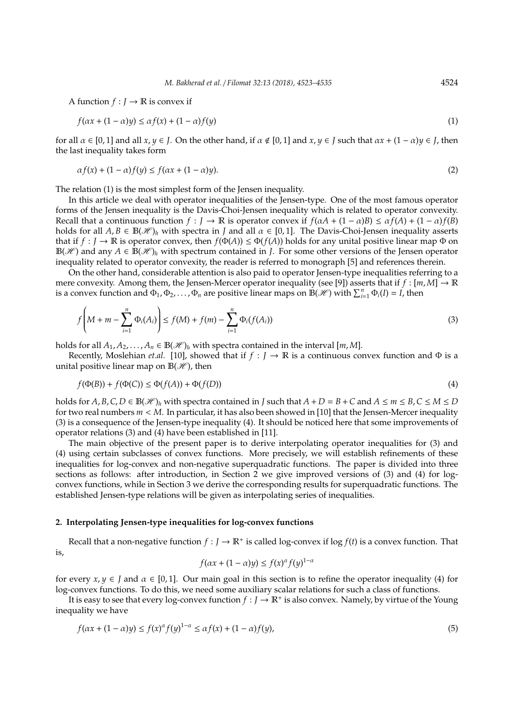A function  $f: J \to \mathbb{R}$  is convex if

$$
f(\alpha x + (1 - \alpha)y) \le \alpha f(x) + (1 - \alpha)f(y)
$$
\n(1)

for all  $\alpha \in [0, 1]$  and all  $x, y \in I$ . On the other hand, if  $\alpha \notin [0, 1]$  and  $x, y \in I$  such that  $\alpha x + (1 - \alpha)y \in I$ , then the last inequality takes form

$$
\alpha f(x) + (1 - \alpha)f(y) \le f(\alpha x + (1 - \alpha)y). \tag{2}
$$

The relation (1) is the most simplest form of the Jensen inequality.

In this article we deal with operator inequalities of the Jensen-type. One of the most famous operator forms of the Jensen inequality is the Davis-Choi-Jensen inequality which is related to operator convexity. Recall that a continuous function  $f : J \to \mathbb{R}$  is operator convex if  $f(\alpha A + (1 - \alpha)B) \leq \alpha f(A) + (1 - \alpha)f(B)$ holds for all  $A, B \in \mathbb{B}(\mathcal{H})_h$  with spectra in *J* and all  $\alpha \in [0, 1]$ . The Davis-Choi-Jensen inequality asserts that if  $f : J \to \mathbb{R}$  is operator convex, then  $f(\Phi(A)) \leq \Phi(f(A))$  holds for any unital positive linear map  $\Phi$  on  $\mathbb{B}(\mathscr{H})$  and any  $A \in \mathbb{B}(\mathscr{H})_h$  with spectrum contained in *J*. For some other versions of the Jensen operator inequality related to operator convexity, the reader is referred to monograph [5] and references therein.

On the other hand, considerable attention is also paid to operator Jensen-type inequalities referring to a mere convexity. Among them, the Jensen-Mercer operator inequality (see [9]) asserts that if  $f : [m, M] \to \mathbb{R}$ is a convex function and  $\Phi_1, \Phi_2, \ldots, \Phi_n$  are positive linear maps on  $\mathbb{B}(\mathscr{H})$  with  $\sum_{i=1}^n \Phi_i(I) = I$ , then

$$
f\left(M+m-\sum_{i=1}^{n}\Phi_{i}(A_{i})\right)\leq f(M)+f(m)-\sum_{i=1}^{n}\Phi_{i}(f(A_{i}))
$$
\n(3)

holds for all  $A_1, A_2, \ldots, A_n \in \mathbb{B}(\mathcal{H})_h$  with spectra contained in the interval  $[m, M]$ .

Recently, Moslehian *et.al.* [10], showed that if  $f : J \to \mathbb{R}$  is a continuous convex function and  $\Phi$  is a unital positive linear map on  $\mathbb{B}(\mathcal{H})$ , then

$$
f(\Phi(B)) + f(\Phi(C)) \le \Phi(f(A)) + \Phi(f(D))
$$
\n<sup>(4)</sup>

holds for  $A, B, C, D \in \mathbb{B}(\mathcal{H})_h$  with spectra contained in *J* such that  $A + D = B + C$  and  $A \le m \le B, C \le M \le D$ for two real numbers *m* < *M*. In particular, it has also been showed in [10] that the Jensen-Mercer inequality (3) is a consequence of the Jensen-type inequality (4). It should be noticed here that some improvements of operator relations (3) and (4) have been established in [11].

The main objective of the present paper is to derive interpolating operator inequalities for (3) and (4) using certain subclasses of convex functions. More precisely, we will establish refinements of these inequalities for log-convex and non-negative superquadratic functions. The paper is divided into three sections as follows: after introduction, in Section 2 we give improved versions of (3) and (4) for logconvex functions, while in Section 3 we derive the corresponding results for superquadratic functions. The established Jensen-type relations will be given as interpolating series of inequalities.

#### **2. Interpolating Jensen-type inequalities for log-convex functions**

Recall that a non-negative function  $f : J \to \mathbb{R}^+$  is called log-convex if log  $f(t)$  is a convex function. That is,

$$
f(\alpha x + (1 - \alpha)y) \le f(x)^{\alpha} f(y)^{1 - \alpha}
$$

for every  $x, y \in J$  and  $\alpha \in [0, 1]$ . Our main goal in this section is to refine the operator inequality (4) for log-convex functions. To do this, we need some auxiliary scalar relations for such a class of functions.

It is easy to see that every log-convex function  $f: J \to \mathbb{R}^+$  is also convex. Namely, by virtue of the Young inequality we have

$$
f(\alpha x + (1 - \alpha)y) \le f(x)^{\alpha} f(y)^{1 - \alpha} \le \alpha f(x) + (1 - \alpha)f(y),\tag{5}
$$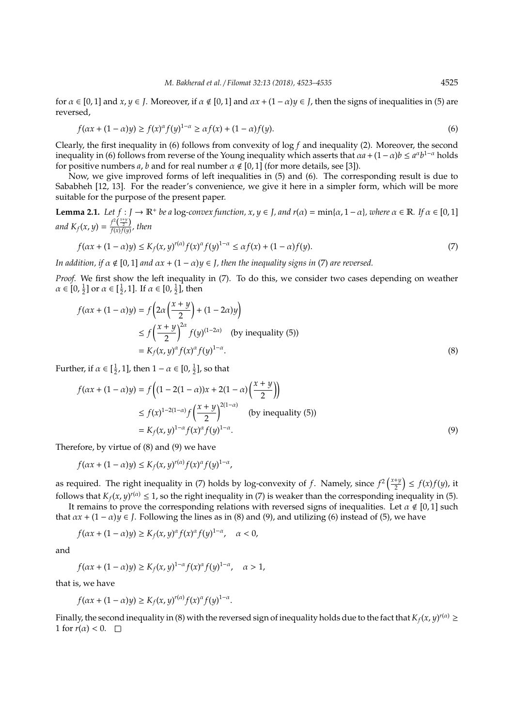for  $\alpha \in [0, 1]$  and  $x, y \in J$ . Moreover, if  $\alpha \notin [0, 1]$  and  $\alpha x + (1 - \alpha)y \in J$ , then the signs of inequalities in (5) are reversed,

$$
f(\alpha x + (1 - \alpha)y) \ge f(x)^{\alpha} f(y)^{1 - \alpha} \ge \alpha f(x) + (1 - \alpha)f(y).
$$
\n<sup>(6)</sup>

Clearly, the first inequality in (6) follows from convexity of log *f* and inequality (2). Moreover, the second inequality in (6) follows from reverse of the Young inequality which asserts that  $\alpha a + (1-\alpha)b \le a^{\alpha}b^{1-\alpha}$  holds for positive numbers *a*, *b* and for real number  $\alpha \notin [0, 1]$  (for more details, see [3]).

Now, we give improved forms of left inequalities in (5) and (6). The corresponding result is due to Sababheh [12, 13]. For the reader's convenience, we give it here in a simpler form, which will be more suitable for the purpose of the present paper.

**Lemma 2.1.** *Let*  $f : J \to \mathbb{R}^+$  *be a* log-convex function,  $x, y \in J$ , and  $r(\alpha) = \min\{\alpha, 1 - \alpha\}$ , where  $\alpha \in \mathbb{R}$ . If  $\alpha \in [0, 1]$ *and*  $K_f(x, y) = \frac{f^2(\frac{x+y}{2})}{f(x)f(y)}$  $\frac{f(x)}{f(x)f(y)}$ , then

$$
f(\alpha x + (1 - \alpha)y) \le K_f(x, y)^{r(\alpha)} f(x)^{\alpha} f(y)^{1 - \alpha} \le \alpha f(x) + (1 - \alpha)f(y).
$$
\n(7)

*In addition, if*  $\alpha \notin [0, 1]$  *and*  $\alpha x + (1 - \alpha)y \in J$ , *then the inequality signs in* (7) *are reversed.* 

*Proof.* We first show the left inequality in (7). To do this, we consider two cases depending on weather  $\alpha \in [0, \frac{1}{2}]$  or  $\alpha \in [\frac{1}{2}, 1]$ . If  $\alpha \in [0, \frac{1}{2}]$ , then

$$
f(\alpha x + (1 - \alpha)y) = f\left(2\alpha \left(\frac{x+y}{2}\right) + (1 - 2\alpha)y\right)
$$
  
\n
$$
\leq f\left(\frac{x+y}{2}\right)^{2\alpha} f(y)^{(1-2\alpha)} \quad \text{(by inequality (5))}
$$
  
\n
$$
= K_f(x, y)^{\alpha} f(x)^{\alpha} f(y)^{1-\alpha}.
$$
 (8)

Further, if  $\alpha \in [\frac{1}{2}, 1]$ , then  $1 - \alpha \in [0, \frac{1}{2}]$ , so that

$$
f(\alpha x + (1 - \alpha)y) = f\left((1 - 2(1 - \alpha))x + 2(1 - \alpha)\left(\frac{x + y}{2}\right)\right)
$$
  
\n
$$
\le f(x)^{1 - 2(1 - \alpha)} f\left(\frac{x + y}{2}\right)^{2(1 - \alpha)} \text{ (by inequality (5))}
$$
  
\n
$$
= K_f(x, y)^{1 - \alpha} f(x)^{\alpha} f(y)^{1 - \alpha}.
$$
 (9)

Therefore, by virtue of (8) and (9) we have

*f*( $ax + (1 - a)y$ ) ≤  $K_f(x, y)^{r(a)} f(x)^{\alpha} f(y)^{1-\alpha}$ ,

as required. The right inequality in (7) holds by log-convexity of f. Namely, since  $f^2\left(\frac{x+y}{2}\right)$  $\left(\frac{+y}{2}\right) \leq f(x)f(y)$ , it follows that  $K_f(x, y)^{r(\alpha)} \leq 1$ , so the right inequality in (7) is weaker than the corresponding inequality in (5).

It remains to prove the corresponding relations with reversed signs of inequalities. Let  $\alpha \notin [0,1]$  such that  $ax + (1 - \alpha)y \in J$ . Following the lines as in (8) and (9), and utilizing (6) instead of (5), we have

$$
f(\alpha x + (1 - \alpha)y) \ge K_f(x, y)^{\alpha} f(x)^{\alpha} f(y)^{1 - \alpha}, \quad \alpha < 0,
$$

and

$$
f(\alpha x + (1 - \alpha)y) \ge K_f(x, y)^{1-\alpha} f(x)^{\alpha} f(y)^{1-\alpha}, \quad \alpha > 1,
$$

that is, we have

$$
f(\alpha x + (1 - \alpha)y) \ge K_f(x, y)^{r(\alpha)} f(x)^{\alpha} f(y)^{1 - \alpha}.
$$

Finally, the second inequality in (8) with the reversed sign of inequality holds due to the fact that  $K_f(x, y)^{r(\alpha)} \ge$ 1 for  $r(\alpha) < 0$ .  $\Box$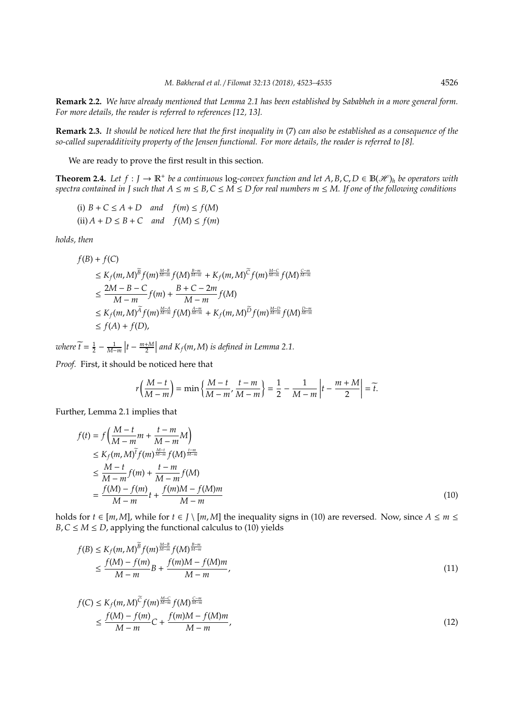**Remark 2.2.** *We have already mentioned that Lemma 2.1 has been established by Sababheh in a more general form. For more details, the reader is referred to references [12, 13].*

**Remark 2.3.** *It should be noticed here that the first inequality in* (7) *can also be established as a consequence of the so-called superadditivity property of the Jensen functional. For more details, the reader is referred to [8].*

We are ready to prove the first result in this section.

**Theorem 2.4.** Let  $f: J \to \mathbb{R}^+$  be a continuous log-convex function and let  $A, B, C, D \in \mathbb{B}(\mathcal{H})_h$  be operators with *spectra contained in J such that*  $A \le m \le B$ ,  $C \le M \le D$  for real numbers  $m \le M$ . If one of the following conditions

(i)  $B + C \le A + D$  and  $f(m) \le f(M)$  $(i) A + D \leq B + C$  and  $f(M) \leq f(m)$ 

*holds, then*

$$
f(B) + f(C)
$$
  
\n
$$
\leq K_f(m, M)^{\widetilde{B}} f(m)^{\frac{M-B}{M-m}} f(M)^{\frac{B-m}{M-m}} + K_f(m, M)^{\widetilde{C}} f(m)^{\frac{M-C}{M-m}} f(M)^{\frac{C-m}{M-m}}
$$
  
\n
$$
\leq \frac{2M - B - C}{M - m} f(m) + \frac{B + C - 2m}{M - m} f(M)
$$
  
\n
$$
\leq K_f(m, M)^{\widetilde{A}} f(m)^{\frac{M-A}{M-m}} f(M)^{\frac{A-m}{M-m}} + K_f(m, M)^{\widetilde{D}} f(m)^{\frac{M-D}{M-m}} f(M)^{\frac{D-m}{M-m}}
$$
  
\n
$$
\leq f(A) + f(D),
$$

*where*  $\widetilde{t} = \frac{1}{2} - \frac{1}{M-m} \left| t - \frac{m+M}{2} \right|$  and  $K_f(m,M)$  is defined in Lemma 2.1.

*Proof.* First, it should be noticed here that

$$
r\left(\frac{M-t}{M-m}\right) = \min\left\{\frac{M-t}{M-m'}, \frac{t-m}{M-m'}\right\} = \frac{1}{2} - \frac{1}{M-m}\left|t - \frac{m+M}{2}\right| = \widetilde{t}.
$$

Further, Lemma 2.1 implies that

$$
f(t) = f\left(\frac{M-t}{M-m}m + \frac{t-m}{M-m}M\right) \n\le K_f(m, M)^{\widetilde{t}} f(m)^{\frac{M-t}{M-m}} f(M)^{\frac{t-m}{M-m}} \n\le \frac{M-t}{M-m} f(m) + \frac{t-m}{M-m} f(M) \n= \frac{f(M)-f(m)}{M-m} t + \frac{f(m)M - f(M)m}{M-m}
$$
\n(10)

holds for  $t \in [m, M]$ , while for  $t \in J \setminus [m, M]$  the inequality signs in (10) are reversed. Now, since  $A \le m \le$ *B*,  $C \leq M \leq D$ , applying the functional calculus to (10) yields

$$
f(B) \le K_f(m, M)^{\widetilde{B}} f(m)^{\frac{M-B}{M-m}} f(M)^{\frac{B-m}{M-m}} \le \frac{f(M) - f(m)}{M-m} B + \frac{f(m)M - f(M)m}{M-m},
$$
\n(11)

$$
f(C) \le K_f(m, M)^{\widetilde{C}} f(m)^{\frac{M-C}{M-m}} f(M)^{\frac{C-m}{M-m}}
$$
  
 
$$
\le \frac{f(M) - f(m)}{M - m} C + \frac{f(m)M - f(M)m}{M - m},
$$
 (12)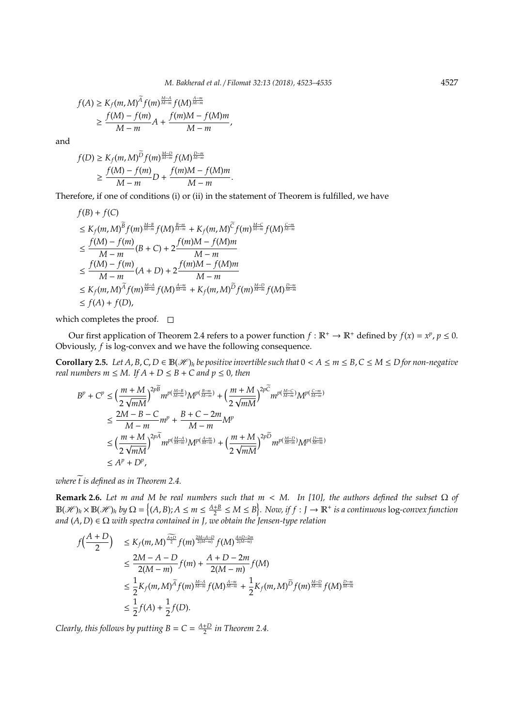$$
f(A) \ge K_f(m, M)^{\widetilde{A}} f(m)^{\frac{M-A}{M-m}} f(M)^{\frac{A-m}{M-m}} \ge \frac{f(M) - f(m)}{M-m}A + \frac{f(m)M - f(M)m}{M-m},
$$

and

$$
f(D) \ge K_f(m, M)^{\widetilde{D}} f(m)^{\frac{M-D}{M-m}} f(M)^{\frac{D-m}{M-m}} \ge \frac{f(M) - f(m)}{M-m} D + \frac{f(m)M - f(M)m}{M-m}.
$$

Therefore, if one of conditions (i) or (ii) in the statement of Theorem is fulfilled, we have

$$
f(B) + f(C)
$$
  
\n
$$
\leq K_f(m, M)^{\overline{B}} f(m)^{\frac{M-B}{M-m}} f(M)^{\frac{B-m}{M-m}} + K_f(m, M)^{\overline{C}} f(m)^{\frac{M-C}{M-m}} f(M)^{\frac{C-m}{M-m}}
$$
  
\n
$$
\leq \frac{f(M) - f(m)}{M - m} (B + C) + 2 \frac{f(m)M - f(M)m}{M - m}
$$
  
\n
$$
\leq \frac{f(M) - f(m)}{M - m} (A + D) + 2 \frac{f(m)M - f(M)m}{M - m}
$$
  
\n
$$
\leq K_f(m, M)^{\overline{A}} f(m)^{\frac{M-A}{M-m}} f(M)^{\frac{A-m}{M-m}} + K_f(m, M)^{\overline{D}} f(m)^{\frac{M-D}{M-m}} f(M)^{\frac{D-m}{M-m}}
$$
  
\n
$$
\leq f(A) + f(D),
$$

which completes the proof.  $\square$ 

Our first application of Theorem 2.4 refers to a power function  $f : \mathbb{R}^+ \to \mathbb{R}^+$  defined by  $f(x) = x^p, p \le 0$ . Obviously, *f* is log-convex and we have the following consequence.

**Corollary 2.5.** Let  $A, B, C, D \in B(\mathcal{H})_h$  be positive invertible such that  $0 < A \leq m \leq B, C \leq M \leq D$  for non-negative *real numbers m*  $\leq M$ *. If*  $A + D \leq B + C$  *and*  $p \leq 0$ *, then* 

$$
B^{p} + C^{p} \leq \left(\frac{m+M}{2\sqrt{mM}}\right)^{2p} m^{p\left(\frac{M-B}{M-m}\right)} M^{p\left(\frac{B-m}{M-m}\right)} + \left(\frac{m+M}{2\sqrt{mM}}\right)^{2p} m^{p\left(\frac{M-C}{M-m}\right)} M^{p\left(\frac{C-m}{M-m}\right)}
$$
  

$$
\leq \frac{2M-B-C}{M-m} m^{p} + \frac{B+C-2m}{M-m} M^{p}
$$
  

$$
\leq \left(\frac{m+M}{2\sqrt{mM}}\right)^{2p\widetilde{A}} m^{p\left(\frac{M-A}{M-m}\right)} M^{p\left(\frac{A-m}{M-m}\right)} + \left(\frac{m+M}{2\sqrt{mM}}\right)^{2p\widetilde{D}} m^{p\left(\frac{M-D}{M-m}\right)} M^{p\left(\frac{D-m}{M-m}\right)}
$$
  

$$
\leq A^{p} + D^{p},
$$

*where*  $\widetilde{t}$  *is defined as in Theorem 2.4.* 

**Remark 2.6.** *Let m and M be real numbers such that m* < *M. In [10], the authors defined the subset* Ω *of*  $\mathbb{B}(\mathscr{H})_h \times \mathbb{B}(\mathscr{H})_h$  by  $\Omega = \left\{(A, B); A \leq m \leq \frac{A+B}{2} \leq M \leq B\right\}$ . Now, if  $f: J \to \mathbb{R}^+$  is a continuous log-convex function *and*  $(A, D) \in \Omega$  *with spectra contained in J, we obtain the Jensen-type relation* 

$$
f\left(\frac{A+D}{2}\right) \le K_f(m,M)^{\frac{\widehat{A+D}}{2}} f(m)^{\frac{2M-A-D}{2(M-m)}} f(M)^{\frac{4+D-2m}{2(M-m)}}
$$
  
\n
$$
\le \frac{2M-A-D}{2(M-m)} f(m) + \frac{A+D-2m}{2(M-m)} f(M)
$$
  
\n
$$
\le \frac{1}{2} K_f(m,M)^{\widetilde{A}} f(m)^{\frac{M-A}{M-m}} f(M)^{\frac{A-m}{M-m}} + \frac{1}{2} K_f(m,M)^{\widetilde{D}} f(m)^{\frac{M-D}{M-m}} f(M)^{\frac{D-m}{M-m}}
$$
  
\n
$$
\le \frac{1}{2} f(A) + \frac{1}{2} f(D).
$$

*Clearly, this follows by putting*  $B = C = \frac{A+D}{2}$  *in Theorem 2.4.*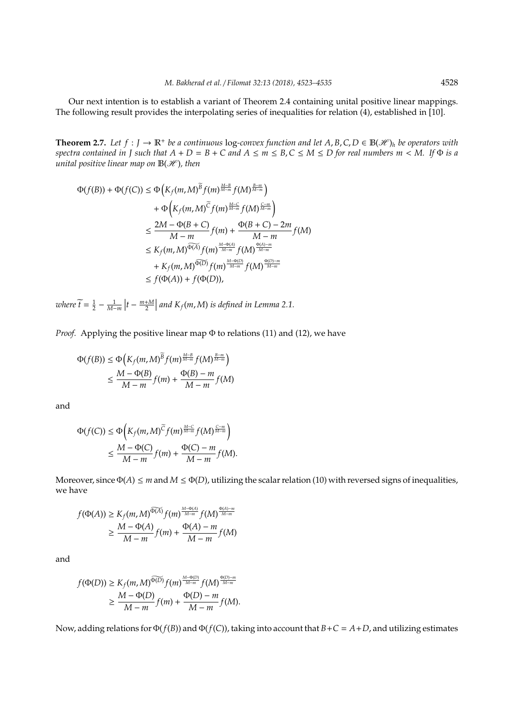Our next intention is to establish a variant of Theorem 2.4 containing unital positive linear mappings. The following result provides the interpolating series of inequalities for relation (4), established in [10].

**Theorem 2.7.** Let  $f: J \to \mathbb{R}^+$  be a continuous log-convex function and let  $A, B, C, D \in \mathbb{B}(\mathcal{H})_h$  be operators with *spectra contained in J such that*  $A + D = B + C$  *and*  $A \le m \le B$ ,  $C \le M \le D$  *for real numbers*  $m < M$ . If  $\Phi$  *is a unital positive linear map on*  $\mathbb{B}(\mathcal{H})$ *, then* 

$$
\Phi(f(B)) + \Phi(f(C)) \le \Phi\left(K_f(m, M)^{\overline{B}} f(m)^{\frac{M-B}{M-m}} f(M)^{\frac{B-m}{M-m}}\right) \n+ \Phi\left(K_f(m, M)^{\overline{C}} f(m)^{\frac{M-C}{M-m}} f(M)^{\frac{C-m}{M-m}}\right) \n\le \frac{2M - \Phi(B + C)}{M - m} f(m) + \frac{\Phi(B + C) - 2m}{M - m} f(M) \n\le K_f(m, M)^{\widehat{\Phi(A)}} f(m)^{\frac{M - \Phi(A)}{M - m}} f(M)^{\frac{\Phi(A) - m}{M - m}} \n+ K_f(m, M)^{\widehat{\Phi(D)}} f(m)^{\frac{M - \Phi(D)}{M - m}} f(M)^{\frac{\Phi(D) - m}{M - m}} \n\le f(\Phi(A)) + f(\Phi(D)),
$$

*where*  $\widetilde{t} = \frac{1}{2} - \frac{1}{M-m} \left| t - \frac{m+M}{2} \right|$  and  $K_f(m,M)$  is defined in Lemma 2.1.

*Proof.* Applying the positive linear map Φ to relations (11) and (12), we have

$$
\Phi(f(B)) \le \Phi\left(K_f(m, M)^{\widetilde{B}} f(m)^{\frac{M-B}{M-m}} f(M)^{\frac{B-m}{M-m}}\right) \le \frac{M - \Phi(B)}{M-m} f(m) + \frac{\Phi(B) - m}{M-m} f(M)
$$

and

$$
\Phi(f(C)) \leq \Phi\left(K_f(m, M)^{\widetilde{C}} f(m)^{\frac{M-C}{M-m}} f(M)^{\frac{C-m}{M-m}}\right) \leq \frac{M - \Phi(C)}{M-m} f(m) + \frac{\Phi(C) - m}{M-m} f(M).
$$

Moreover, since  $\Phi(A) \le m$  and  $M \le \Phi(D)$ , utilizing the scalar relation (10) with reversed signs of inequalities, we have

$$
f(\Phi(A)) \ge K_f(m, M)^{\widetilde{\Phi(A)}} f(m)^{\frac{M-\Phi(A)}{M-m}} f(M)^{\frac{\Phi(A)-m}{M-m}} \ge \frac{M-\Phi(A)}{M-m} f(m) + \frac{\Phi(A)-m}{M-m} f(M)
$$

and

$$
f(\Phi(D)) \geq K_f(m, M)^{\widetilde{\Phi(D)}} f(m)^{\frac{M-\Phi(D)}{M-m}} f(M)^{\frac{\Phi(D)-m}{M-m}} \geq \frac{M-\Phi(D)}{M-m} f(m) + \frac{\Phi(D)-m}{M-m} f(M).
$$

Now, adding relations for Φ(*f*(*B*)) and Φ(*f*(*C*)), taking into account that *B*+*C* = *A*+*D*, and utilizing estimates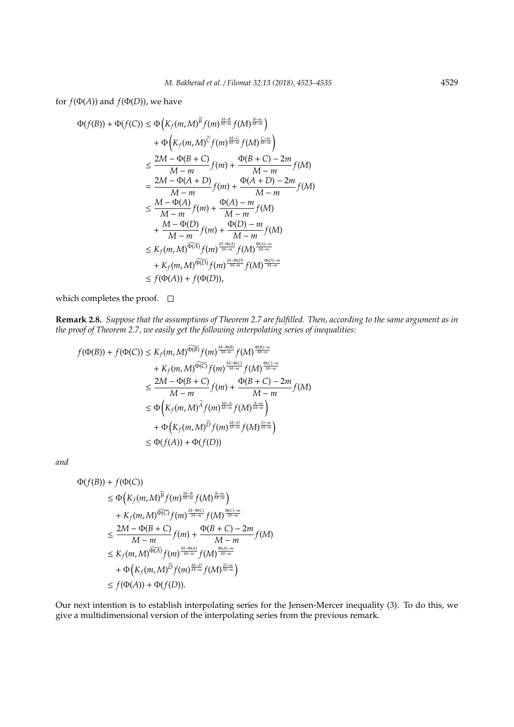for  $f(\Phi(A))$  and  $f(\Phi(D))$ , we have

$$
\Phi(f(B)) + \Phi(f(C)) \le \Phi\left(K_f(m, M)^{\overline{B}} f(m)^{\frac{M-B}{M-m}} f(M)^{\frac{B-m}{M-m}}\right) \n+ \Phi\left(K_f(m, M)^{\overline{C}} f(m)^{\frac{M-C}{M-m}} f(M)^{\frac{C-m}{M-m}}\right) \n\le \frac{2M - \Phi(B + C)}{M - m} f(m) + \frac{\Phi(B + C) - 2m}{M - m} f(M) \n= \frac{2M - \Phi(A + D)}{M - m} f(m) + \frac{\Phi(A + D) - 2m}{M - m} f(M) \n\le \frac{M - \Phi(A)}{M - m} f(m) + \frac{\Phi(A) - m}{M - m} f(M) \n+ \frac{M - \Phi(D)}{M - m} f(m) + \frac{\Phi(D) - m}{M - m} f(M) \n\le K_f(m, M)^{\widehat{\Phi(A)}} f(m)^{\frac{M - \Phi(A)}{M - m}} f(M)^{\frac{\Phi(A) - m}{M - m}} \n+ K_f(m, M)^{\widehat{\Phi(D)}} f(m)^{\frac{M - \Phi(D)}{M - m}} f(M)^{\frac{\Phi(D) - m}{M - m}} \n\le f(\Phi(A)) + f(\Phi(D)),
$$

which completes the proof.  $\square$ 

**Remark 2.8.** *Suppose that the assumptions of Theorem 2.7 are fulfilled. Then, according to the same argument as in the proof of Theorem 2.7, we easily get the following interpolating series of inequalities:*

$$
f(\Phi(B)) + f(\Phi(C)) \leq K_f(m, M)^{\widetilde{\Phi(B)}} f(m)^{\frac{M-\Phi(B)}{M-m}} f(M)^{\frac{\Phi(B)-m}{M-m}}
$$
  
+  $K_f(m, M)^{\widetilde{\Phi(C)}} f(m)^{\frac{M-\Phi(C)}{M-m}} f(M)^{\frac{\Phi(C)-m}{M-m}}$   
 $\leq \frac{2M - \Phi(B + C)}{M-m} f(m) + \frac{\Phi(B + C) - 2m}{M-m} f(M)$   
 $\leq \Phi\left(K_f(m, M)^{\widetilde{A}} f(m)^{\frac{M-A}{M-m}} f(M)^{\frac{A-m}{M-m}}\right)$   
+  $\Phi\left(K_f(m, M)^{\widetilde{D}} f(m)^{\frac{M-D}{M-m}} f(M)^{\frac{D-m}{M-m}}\right)$   
 $\leq \Phi(f(A)) + \Phi(f(D))$ 

*and*

$$
\Phi(f(B)) + f(\Phi(C))
$$
\n
$$
\leq \Phi\left(K_f(m, M)^{\overline{B}} f(m)^{\frac{M-B}{M-m}} f(M)^{\frac{B-m}{M-m}}\right) \\
+ K_f(m, M)^{\widehat{\Phi(C)}} f(m)^{\frac{M-\Phi(C)}{M-m}} f(M)^{\frac{\Phi(C)-m}{M-m}}
$$
\n
$$
\leq \frac{2M - \Phi(B + C)}{M - m} f(m) + \frac{\Phi(B + C) - 2m}{M - m} f(M)
$$
\n
$$
\leq K_f(m, M)^{\widehat{\Phi(A)}} f(m)^{\frac{M-\Phi(A)}{M-m}} f(M)^{\frac{\Phi(A)-m}{M-m}}
$$
\n
$$
+ \Phi\left(K_f(m, M)^{\overline{D}} f(m)^{\frac{M-D}{M-m}} f(M)^{\frac{D-m}{M-m}}\right) \\
\leq f(\Phi(A)) + \Phi(f(D)).
$$

Our next intention is to establish interpolating series for the Jensen-Mercer inequality (3). To do this, we give a multidimensional version of the interpolating series from the previous remark.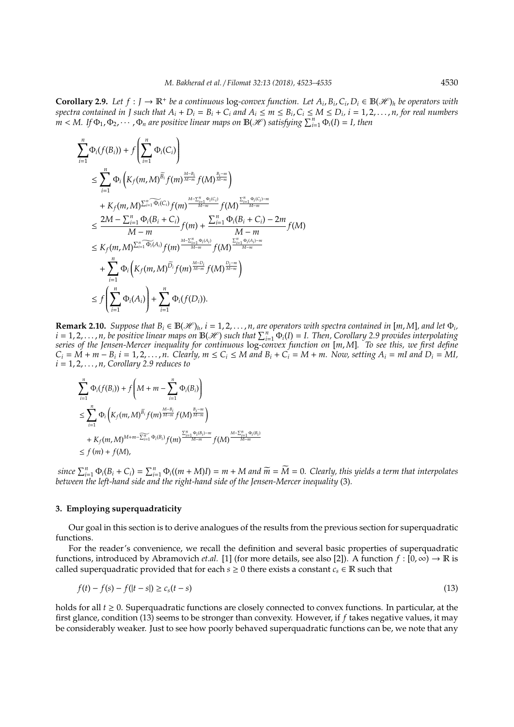**Corollary 2.9.** Let  $f: J \to \mathbb{R}^+$  be a continuous log-convex function. Let  $A_i, B_i, C_i, D_i \in \mathbb{B}(\mathcal{H})_h$  be operators with spectra contained in J such that  $A_i + D_i = B_i + C_i$  and  $A_i \le m \le B_i$ ,  $C_i \le M \le D_i$ ,  $i = 1, 2, ..., n$ , for real numbers  $m < M$ . If  $\Phi_1, \Phi_2, \cdots, \Phi_n$  are positive linear maps on  $\mathbb{B}(\mathscr{H})$  satisfying  $\sum_{i=1}^n \Phi_i(I) = I$ , then

$$
\sum_{i=1}^{n} \Phi_{i}(f(B_{i})) + f\left(\sum_{i=1}^{n} \Phi_{i}(C_{i})\right)
$$
\n
$$
\leq \sum_{i=1}^{n} \Phi_{i}\left(K_{f}(m, M)^{\widetilde{B}_{i}} f(m)^{\frac{M-B_{i}}{M-m}} f(M)^{\frac{B_{i}-m}{M-m}}\right)
$$
\n
$$
+ K_{f}(m, M)^{\sum_{i=1}^{n} \widetilde{\Phi_{i}}(C_{i})} f(m)^{\frac{M-\sum_{i=1}^{n} \Phi_{i}(C_{i})}{M-m}} f(M)^{\frac{\sum_{i=1}^{n} \Phi_{i}(C_{i})-m}{M-m}}
$$
\n
$$
\leq \frac{2M - \sum_{i=1}^{n} \Phi_{i}(B_{i} + C_{i})}{M-m} f(m) + \frac{\sum_{i=1}^{n} \Phi_{i}(B_{i} + C_{i}) - 2m}{M-m} f(M)
$$
\n
$$
\leq K_{f}(m, M)^{\sum_{i=1}^{n} \widetilde{\Phi_{i}}(A_{i})} f(m)^{\frac{M-\sum_{i=1}^{n} \Phi_{i}(A_{i})}{M-m}} f(M)^{\frac{\sum_{i=1}^{n} \Phi_{i}(A_{i})-m}{M-m}}
$$
\n
$$
+ \sum_{i=1}^{n} \Phi_{i}\left(K_{f}(m, M)^{\widetilde{D}_{i}} f(m)^{\frac{M-D_{i}}{M-m}} f(M)^{\frac{D_{i}-m}{M-m}}\right)
$$
\n
$$
\leq f\left(\sum_{i=1}^{n} \Phi_{i}(A_{i})\right) + \sum_{i=1}^{n} \Phi_{i}(f(D_{i})).
$$

**Remark 2.10.** *Suppose that*  $B_i \in B(\mathcal{H})_h$ ,  $i = 1, 2, ..., n$ , are operators with spectra contained in [m, M], and let  $\Phi_i$ ,  $i = 1, 2, \ldots, n$ , be positive linear maps on  $\mathbb{B}(\mathscr{H})$  such that  $\sum_{i=1}^{n} \Phi_i(I) = I$ . Then, Corollary 2.9 provides interpolating *series of the Jensen-Mercer inequality for continuous* log*-convex function on* [*m*, *M*]*. To see this, we first define*  $C_i = \overrightarrow{M} + m - B_i$  i = 1, 2, ..., n. Clearly,  $m \le C_i \le M$  and  $B_i + C_i = M + m$ . Now, setting  $A_i = mI$  and  $D_i = MI$ ,  $i = 1, 2, \ldots, n$ , Corollary 2.9 reduces to

$$
\sum_{i=1}^{n} \Phi_i(f(B_i)) + f\left(M + m - \sum_{i=1}^{n} \Phi_i(B_i)\right)
$$
\n
$$
\leq \sum_{i=1}^{n} \Phi_i\left(K_f(m, M)^{\widetilde{b}_i} f(m)^{\frac{M - B_i}{M - m}} f(M)^{\frac{B_i - m}{M - m}}\right)
$$
\n
$$
+ K_f(m, M)^{M + m - \sum_{i=1}^{n} \Phi_i(B_i)} f(m)^{\frac{\sum_{i=1}^{n} \Phi_i(B_i) - m}{M - m}} f(M)^{\frac{M - \sum_{i=1}^{n} \Phi_i(B_i)}{\sum_{i=1}^{M - m}}}
$$
\n
$$
\leq f(m) + f(M),
$$

since  $\sum_{i=1}^{n} \Phi_i(B_i + C_i) = \sum_{i=1}^{n} \Phi_i((m + M)I) = m + M$  and  $\widetilde{m} = \widetilde{M} = 0$ . Clearly, this yields a term that interpolates *between the left-hand side and the right-hand side of the Jensen-Mercer inequality* (3)*.*

#### **3. Employing superquadraticity**

Our goal in this section is to derive analogues of the results from the previous section for superquadratic functions.

For the reader's convenience, we recall the definition and several basic properties of superquadratic functions, introduced by Abramovich *et.al.* [1] (for more details, see also [2]). A function  $f : [0, \infty) \to \mathbb{R}$  is called superquadratic provided that for each  $s \ge 0$  there exists a constant  $c_s \in \mathbb{R}$  such that

$$
f(t) - f(s) - f(|t - s|) \ge c_s(t - s)
$$
\n(13)

holds for all *t* ≥ 0. Superquadratic functions are closely connected to convex functions. In particular, at the first glance, condition (13) seems to be stronger than convexity. However, if *f* takes negative values, it may be considerably weaker. Just to see how poorly behaved superquadratic functions can be, we note that any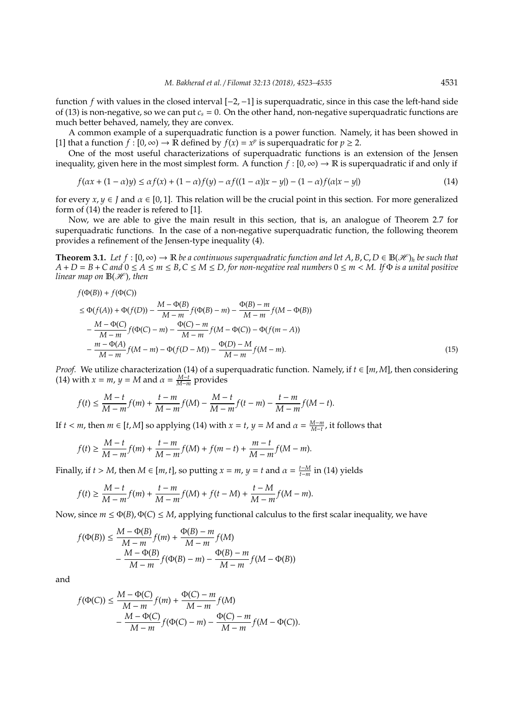function *f* with values in the closed interval [−2,−1] is superquadratic, since in this case the left-hand side of (13) is non-negative, so we can put  $c_s = 0$ . On the other hand, non-negative superquadratic functions are much better behaved, namely, they are convex.

A common example of a superquadratic function is a power function. Namely, it has been showed in [1] that a function  $f : [0, \infty) \to \mathbb{R}$  defined by  $f(x) = x^p$  is superquadratic for  $p \ge 2$ .

One of the most useful characterizations of superquadratic functions is an extension of the Jensen inequality, given here in the most simplest form. A function  $f : [0, \infty) \to \mathbb{R}$  is superquadratic if and only if

$$
f(\alpha x + (1 - \alpha)y) \leq \alpha f(x) + (1 - \alpha)f(y) - \alpha f((1 - \alpha)|x - y|) - (1 - \alpha)f(\alpha|x - y|)
$$
\n(14)

for every  $x, y \in J$  and  $\alpha \in [0, 1]$ . This relation will be the crucial point in this section. For more generalized form of (14) the reader is refered to [1].

Now, we are able to give the main result in this section, that is, an analogue of Theorem 2.7 for superquadratic functions. In the case of a non-negative superquadratic function, the following theorem provides a refinement of the Jensen-type inequality (4).

**Theorem 3.1.** Let  $f$  :  $[0, ∞)$   $\rightarrow \mathbb{R}$  *be a continuous superquadratic function and let A, B, C, D*  $\in \mathbb{B}(\mathcal{H})_h$  *be such that*  $A + D = B + C$  and  $0 \le A \le m \le B$ ,  $C \le M \le D$ , for non-negative real numbers  $0 \le m \lt M$ . If  $\Phi$  is a unital positive *linear map on*  $B(\mathcal{H})$ *, then* 

$$
f(\Phi(B)) + f(\Phi(C))
$$
  
\n
$$
\leq \Phi(f(A)) + \Phi(f(D)) - \frac{M - \Phi(B)}{M - m} f(\Phi(B) - m) - \frac{\Phi(B) - m}{M - m} f(M - \Phi(B))
$$
  
\n
$$
- \frac{M - \Phi(C)}{M - m} f(\Phi(C) - m) - \frac{\Phi(C) - m}{M - m} f(M - \Phi(C)) - \Phi(f(m - A))
$$
  
\n
$$
- \frac{m - \Phi(A)}{M - m} f(M - m) - \Phi(f(D - M)) - \frac{\Phi(D) - M}{M - m} f(M - m).
$$
 (15)

*Proof.* We utilize characterization (14) of a superquadratic function. Namely, if *t* ∈ [*m*, *M*], then considering (14) with  $x = m$ ,  $y = M$  and  $\alpha = \frac{M-t}{M-m}$  provides

$$
f(t)\leq \frac{M-t}{M-m}f(m)+\frac{t-m}{M-m}f(M)-\frac{M-t}{M-m}f(t-m)-\frac{t-m}{M-m}f(M-t).
$$

If *t* < *m*, then *m* ∈ [*t*, *M*] so applying (14) with *x* = *t*, *y* = *M* and  $\alpha = \frac{M-m}{M-t}$ , it follows that

$$
f(t) \ge \frac{M-t}{M-m} f(m) + \frac{t-m}{M-m} f(M) + f(m-t) + \frac{m-t}{M-m} f(M-m).
$$

Finally, if *t* > *M*, then *M* ∈ [*m*, *t*], so putting *x* = *m*, *y* = *t* and  $\alpha = \frac{t - M}{t - m}$  in (14) yields

$$
f(t)\geq \frac{M-t}{M-m}f(m)+\frac{t-m}{M-m}f(M)+f(t-M)+\frac{t-M}{M-m}f(M-m).
$$

Now, since  $m \le \Phi(B)$ ,  $\Phi(C) \le M$ , applying functional calculus to the first scalar inequality, we have

$$
f(\Phi(B)) \le \frac{M - \Phi(B)}{M - m} f(m) + \frac{\Phi(B) - m}{M - m} f(M)
$$
  
 
$$
- \frac{M - \Phi(B)}{M - m} f(\Phi(B) - m) - \frac{\Phi(B) - m}{M - m} f(M - \Phi(B))
$$

and

$$
f(\Phi(C)) \le \frac{M - \Phi(C)}{M - m} f(m) + \frac{\Phi(C) - m}{M - m} f(M)
$$
  
 
$$
- \frac{M - \Phi(C)}{M - m} f(\Phi(C) - m) - \frac{\Phi(C) - m}{M - m} f(M - \Phi(C)).
$$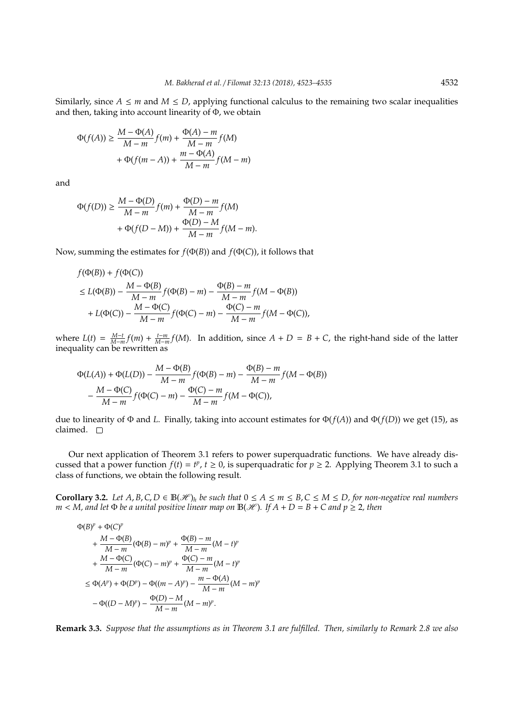Similarly, since  $A \le m$  and  $M \le D$ , applying functional calculus to the remaining two scalar inequalities and then, taking into account linearity of Φ, we obtain

$$
\Phi(f(A)) \ge \frac{M - \Phi(A)}{M - m} f(m) + \frac{\Phi(A) - m}{M - m} f(M)
$$

$$
+ \Phi(f(m - A)) + \frac{m - \Phi(A)}{M - m} f(M - m)
$$

and

$$
\Phi(f(D)) \ge \frac{M - \Phi(D)}{M - m} f(m) + \frac{\Phi(D) - m}{M - m} f(M) + \Phi(f(D - M)) + \frac{\Phi(D) - M}{M - m} f(M - m).
$$

Now, summing the estimates for *f*(Φ(*B*)) and *f*(Φ(*C*)), it follows that

$$
f(\Phi(B)) + f(\Phi(C))
$$
  
\n
$$
\leq L(\Phi(B)) - \frac{M - \Phi(B)}{M - m} f(\Phi(B) - m) - \frac{\Phi(B) - m}{M - m} f(M - \Phi(B))
$$
  
\n
$$
+ L(\Phi(C)) - \frac{M - \Phi(C)}{M - m} f(\Phi(C) - m) - \frac{\Phi(C) - m}{M - m} f(M - \Phi(C)),
$$

where  $L(t) = \frac{M-t}{M-m} f(m) + \frac{t-m}{M-m} f(M)$ . In addition, since  $A + D = B + C$ , the right-hand side of the latter inequality can be rewritten as

$$
\Phi(L(A)) + \Phi(L(D)) - \frac{M - \Phi(B)}{M - m} f(\Phi(B) - m) - \frac{\Phi(B) - m}{M - m} f(M - \Phi(B)) - \frac{M - \Phi(C)}{M - m} f(\Phi(C) - m) - \frac{\Phi(C) - m}{M - m} f(M - \Phi(C)),
$$

due to linearity of Φ and *L*. Finally, taking into account estimates for Φ(*f*(*A*)) and Φ(*f*(*D*)) we get (15), as claimed.  $\square$ 

Our next application of Theorem 3.1 refers to power superquadratic functions. We have already discussed that a power function  $f(t) = t^p$ ,  $t \ge 0$ , is superquadratic for  $p \ge 2$ . Applying Theorem 3.1 to such a class of functions, we obtain the following result.

**Corollary 3.2.** *Let A, B, C, D* ∈  $\mathbb{B}(\mathcal{H})_h$  *be such that*  $0 \le A \le m \le B$ ,  $C \le M \le D$ , for non-negative real numbers  $m < M$ , and let  $\Phi$  *be a unital positive linear map on*  $B(\mathcal{H})$ *. If*  $A + D = B + C$  *and*  $p \ge 2$ *, then* 

$$
\Phi(B)^p + \Phi(C)^p
$$
  
+  $\frac{M - \Phi(B)}{M - m} (\Phi(B) - m)^p + \frac{\Phi(B) - m}{M - m} (M - t)^p$   
+  $\frac{M - \Phi(C)}{M - m} (\Phi(C) - m)^p + \frac{\Phi(C) - m}{M - m} (M - t)^p$   
 $\leq \Phi(A^p) + \Phi(D^p) - \Phi((m - A)^p) - \frac{m - \Phi(A)}{M - m} (M - m)^p$   
-  $\Phi((D - M)^p) - \frac{\Phi(D) - M}{M - m} (M - m)^p$ .

**Remark 3.3.** *Suppose that the assumptions as in Theorem 3.1 are fulfilled. Then, similarly to Remark 2.8 we also*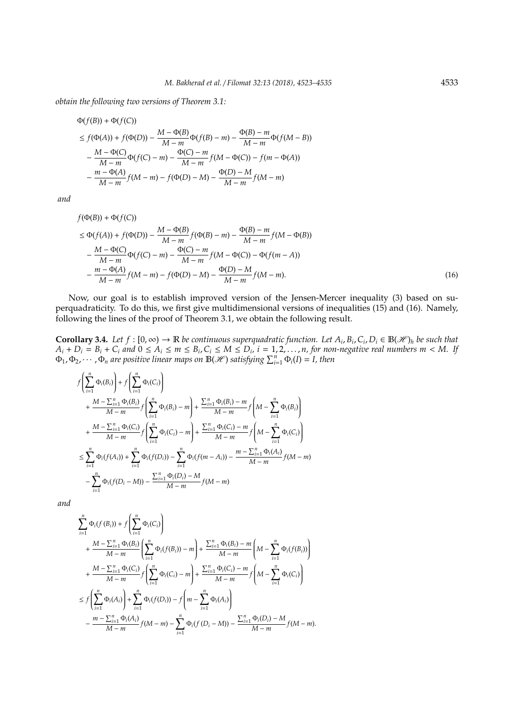*obtain the following two versions of Theorem 3.1:*

$$
\Phi(f(B)) + \Phi(f(C))
$$
\n
$$
\leq f(\Phi(A)) + f(\Phi(D)) - \frac{M - \Phi(B)}{M - m}\Phi(f(B) - m) - \frac{\Phi(B) - m}{M - m}\Phi(f(M - B))
$$
\n
$$
- \frac{M - \Phi(C)}{M - m}\Phi(f(C) - m) - \frac{\Phi(C) - m}{M - m}f(M - \Phi(C)) - f(m - \Phi(A))
$$
\n
$$
- \frac{m - \Phi(A)}{M - m}f(M - m) - f(\Phi(D) - M) - \frac{\Phi(D) - M}{M - m}f(M - m)
$$

*and*

$$
f(\Phi(B)) + \Phi(f(C))
$$
  
\n
$$
\leq \Phi(f(A)) + f(\Phi(D)) - \frac{M - \Phi(B)}{M - m} f(\Phi(B) - m) - \frac{\Phi(B) - m}{M - m} f(M - \Phi(B))
$$
  
\n
$$
- \frac{M - \Phi(C)}{M - m} \Phi(f(C) - m) - \frac{\Phi(C) - m}{M - m} f(M - \Phi(C)) - \Phi(f(m - A))
$$
  
\n
$$
- \frac{m - \Phi(A)}{M - m} f(M - m) - f(\Phi(D) - M) - \frac{\Phi(D) - M}{M - m} f(M - m).
$$
 (16)

Now, our goal is to establish improved version of the Jensen-Mercer inequality (3) based on superquadraticity. To do this, we first give multidimensional versions of inequalities (15) and (16). Namely, following the lines of the proof of Theorem 3.1, we obtain the following result.

**Corollary 3.4.** Let  $f : [0, \infty) \to \mathbb{R}$  be continuous superquadratic function. Let  $A_i, B_i, C_i, D_i \in \mathbb{B}(\mathcal{H})_h$  be such that  $A_i + D_i = B_i + C_i$  and  $0 \le A_i \le m \le B_i$ ,  $C_i \le M \le D_i$ ,  $i = 1, 2, ..., n$ , for non-negative real numbers  $m < M$ . If  $\Phi_1, \Phi_2, \cdots, \Phi_n$  are positive linear maps on  $\mathbb{B}(\mathscr{H})$  satisfying  $\sum_{i=1}^n \Phi_i(I) = I$ , then

$$
f\left(\sum_{i=1}^{n} \Phi_{i}(B_{i})\right) + f\left(\sum_{i=1}^{n} \Phi_{i}(C_{i})\right) + \frac{M - \sum_{i=1}^{n} \Phi_{i}(B_{i})}{M - m} f\left(\sum_{i=1}^{n} \Phi_{i}(B_{i}) - m\right) + \frac{\sum_{i=1}^{n} \Phi_{i}(B_{i}) - m}{M - m} f\left(M - \sum_{i=1}^{n} \Phi_{i}(B_{i})\right) + \frac{M - \sum_{i=1}^{n} \Phi_{i}(C_{i})}{M - m} f\left(\sum_{i=1}^{n} \Phi_{i}(C_{i}) - m\right) + \frac{\sum_{i=1}^{n} \Phi_{i}(C_{i}) - m}{M - m} f\left(M - \sum_{i=1}^{n} \Phi_{i}(C_{i})\right) + \sum_{i=1}^{n} \Phi_{i}(f(A_{i})) + \sum_{i=1}^{n} \Phi_{i}(f(D_{i})) - \sum_{i=1}^{n} \Phi_{i}(f(m - A_{i})) - \frac{m - \sum_{i=1}^{n} \Phi_{i}(A_{i})}{M - m} f(M - m) - \sum_{i=1}^{n} \Phi_{i}(f(D_{i} - M)) - \frac{\sum_{i=1}^{n} \Phi_{i}(D_{i}) - M}{M - m} f(M - m)
$$

*and*

$$
\sum_{i=1}^{n} \Phi_{i}(f(B_{i})) + f\left(\sum_{i=1}^{n} \Phi_{i}(C_{i})\right) \n+ \frac{M - \sum_{i=1}^{n} \Phi_{i}(B_{i})}{M - m} \left(\sum_{i=1}^{n} \Phi_{i}(f(B_{i})) - m\right) + \frac{\sum_{i=1}^{n} \Phi_{i}(B_{i}) - m}{M - m} \left(M - \sum_{i=1}^{n} \Phi_{i}(f(B_{i}))\right) \n+ \frac{M - \sum_{i=1}^{n} \Phi_{i}(C_{i})}{M - m} f\left(\sum_{i=1}^{n} \Phi_{i}(C_{i}) - m\right) + \frac{\sum_{i=1}^{n} \Phi_{i}(C_{i}) - m}{M - m} f\left(M - \sum_{i=1}^{n} \Phi_{i}(C_{i})\right) \n\leq f\left(\sum_{i=1}^{n} \Phi_{i}(A_{i})\right) + \sum_{i=1}^{n} \Phi_{i}(f(D_{i})) - f\left(m - \sum_{i=1}^{n} \Phi_{i}(A_{i})\right) \n- \frac{m - \sum_{i=1}^{n} \Phi_{i}(A_{i})}{M - m} f(M - m) - \sum_{i=1}^{n} \Phi_{i}(f(D_{i} - M)) - \frac{\sum_{i=1}^{n} \Phi_{i}(D_{i}) - M}{M - m} f(M - m).
$$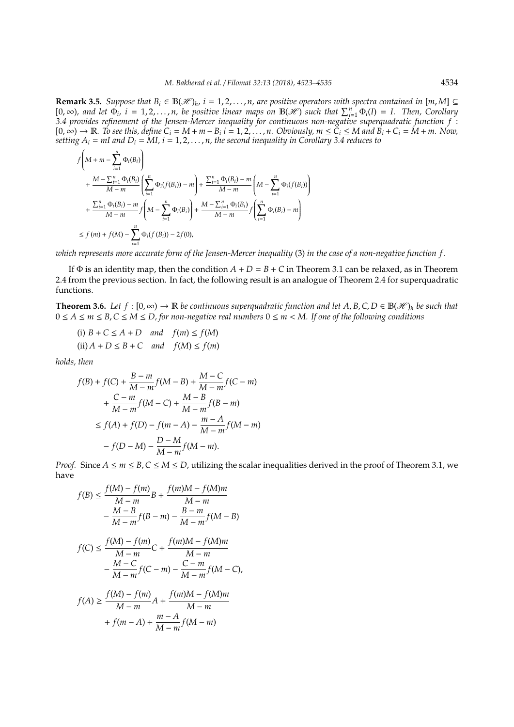**Remark 3.5.** *Suppose that*  $B_i$  ∈  $\mathbb{B}(\mathcal{H})_h$ ,  $i = 1, 2, ..., n$ , are positive operators with spectra contained in [m, M] ⊆  $[0,\infty)$ , and let  $\Phi_i$ ,  $i = 1,2,...,n$ , be positive linear maps on  $\mathbb{B}(\mathscr{H})$  such that  $\sum_{i=1}^n \Phi_i(I) = I$ . Then, Corollary *3.4 provides refinement of the Jensen-Mercer inequality for continuous non-negative superquadratic function f* :  $[0,\infty) \to \mathbb{R}$ . To see this, define  $C_i = M + m - B_i$  i = 1, 2, ..., n. Obviously,  $m \leq C_i \leq M$  and  $B_i + C_i = M + m$ . Now, *setting*  $A_i = mI$  and  $D_i = MI$ ,  $i = 1, 2, ..., n$ , the second inequality in Corollary 3.4 reduces to

$$
\begin{split} &f\left(M+m-\sum_{i=1}^{n}\Phi_{i}(B_{i})\right) \\ &+\frac{M-\sum_{i=1}^{n}\Phi_{i}(B_{i})}{M-m}\left(\sum_{i=1}^{n}\Phi_{i}(f(B_{i}))-m\right)+\frac{\sum_{i=1}^{n}\Phi_{i}(B_{i})-m}{M-m}\left(M-\sum_{i=1}^{n}\Phi_{i}(f(B_{i}))\right) \\ &+\frac{\sum_{i=1}^{n}\Phi_{i}(B_{i})-m}{M-m}f\left(M-\sum_{i=1}^{n}\Phi_{i}(B_{i})\right)+\frac{M-\sum_{i=1}^{n}\Phi_{i}(B_{i})}{M-m}f\left(\sum_{i=1}^{n}\Phi_{i}(B_{i})-m\right) \\ &\leq f\left(m\right)+f(M)-\sum_{i=1}^{n}\Phi_{i}(f(B_{i}))-2f(0), \end{split}
$$

*which represents more accurate form of the Jensen-Mercer inequality* (3) *in the case of a non-negative function f .*

If  $\Phi$  is an identity map, then the condition  $A + D = B + C$  in Theorem 3.1 can be relaxed, as in Theorem 2.4 from the previous section. In fact, the following result is an analogue of Theorem 2.4 for superquadratic functions.

**Theorem 3.6.** Let  $f : [0, \infty) \to \mathbb{R}$  *be continuous superquadratic function and let A, B, C, D* ∈  $\mathbb{B}(\mathcal{H})_h$  *be such that* 0 ≤ *A* ≤ *m* ≤ *B*,*C* ≤ *M* ≤ *D, for non-negative real numbers* 0 ≤ *m* < *M. If one of the following conditions*

(i) 
$$
B + C \le A + D
$$
 and  $f(m) \le f(M)$   
(ii)  $A + D \le B + C$  and  $f(M) \le f(m)$ 

 $\rightarrow$ 

*holds, then*

$$
f(B) + f(C) + \frac{B-m}{M-m}f(M - B) + \frac{M-C}{M-m}f(C - m)
$$
  
+ 
$$
\frac{C-m}{M-m}f(M - C) + \frac{M-B}{M-m}f(B - m)
$$
  
\$\leq f(A) + f(D) - f(m - A) - \frac{m - A}{M - m}f(M - m)\$  
- 
$$
f(D - M) - \frac{D-M}{M - m}f(M - m).
$$

*Proof.* Since  $A \le m \le B$ ,  $C \le M \le D$ , utilizing the scalar inequalities derived in the proof of Theorem 3.1, we have

$$
f(B) \le \frac{f(M) - f(m)}{M - m}B + \frac{f(m)M - f(M)m}{M - m} - \frac{M - B}{M - m}f(B - m) - \frac{B - m}{M - m}f(M - B)
$$

$$
f(C) \le \frac{f(M) - f(m)}{M - m}C + \frac{f(m)M - f(M)m}{M - m} - \frac{M - C}{M - m}f(C - m) - \frac{C - m}{M - m}f(M - C),
$$

$$
f(A) \ge \frac{f(M) - f(m)}{M - m}A + \frac{f(m)M - f(M)m}{M - m}
$$

$$
+ f(m - A) + \frac{m - A}{M - m}f(M - m)
$$